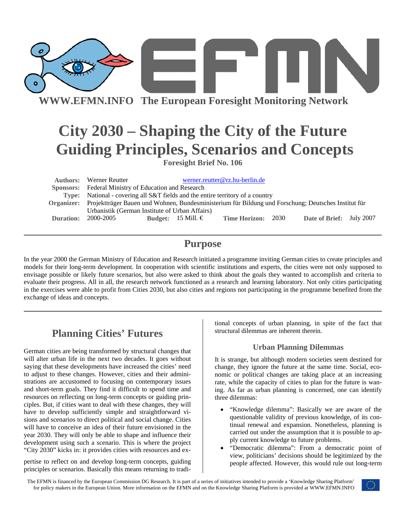

# **City 2030 – Shaping the City of the Future Guiding Principles, Scenarios and Concepts**

**Foresight Brief No. 106** 

|           | <b>Authors:</b> Werner Reutter                                                                                 |                    | werner.reutter@rz.hu-berlin.de |  |                          |  |
|-----------|----------------------------------------------------------------------------------------------------------------|--------------------|--------------------------------|--|--------------------------|--|
|           | Sponsors: Federal Ministry of Education and Research                                                           |                    |                                |  |                          |  |
|           | Type: National - covering all S&T fields and the entire territory of a country                                 |                    |                                |  |                          |  |
|           | Organizer: Projektträger Bauen und Wohnen, Bundesministerium für Bildung und Forschung; Deutsches Institut für |                    |                                |  |                          |  |
|           | Urbanistik (German Institute of Urban Affairs)                                                                 |                    |                                |  |                          |  |
| Duration: | 2000-2005                                                                                                      | Budget: 15 Mill. € | <b>Time Horizon: 2030</b>      |  | Date of Brief: July 2007 |  |

### **Purpose**

In the year 2000 the German Ministry of Education and Research initiated a programme inviting German cities to create principles and models for their long-term development. In cooperation with scientific institutions and experts, the cities were not only supposed to envisage possible or likely future scenarios, but also were asked to think about the goals they wanted to accomplish and criteria to evaluate their progress. All in all, the research network functioned as a research and learning laboratory. Not only cities participating in the exercises were able to profit from Cities 2030, but also cities and regions not participating in the programme benefited from the exchange of ideas and concepts.

## **Planning Cities' Futures**

German cities are being transformed by structural changes that will alter urban life in the next two decades. It goes without saying that these developments have increased the cities' need to adjust to these changes. However, cities and their administrations are accustomed to focusing on contemporary issues and short-term goals. They find it difficult to spend time and resources on reflecting on long-term concepts or guiding principles. But, if cities want to deal with these changes, they will have to develop sufficiently simple and straightforward visions and scenarios to direct political and social change. Cities will have to conceive an idea of their future envisioned in the year 2030. They will only be able to shape and influence their development using such a scenario. This is where the project "City 2030" kicks in: it provides cities with resources and ex-

pertise to reflect on and develop long-term concepts, guiding principles or scenarios. Basically this means returning to traditional concepts of urban planning, in spite of the fact that structural dilemmas are inherent therein.

#### **Urban Planning Dilemmas**

It is strange, but although modern societies seem destined for change, they ignore the future at the same time. Social, economic or political changes are taking place at an increasing rate, while the capacity of cities to plan for the future is waning. As far as urban planning is concerned, one can identify three dilemmas:

- "Knowledge dilemma": Basically we are aware of the questionable validity of previous knowledge, of its continual renewal and expansion. Nonetheless, planning is carried out under the assumption that it is possible to apply current knowledge to future problems.
- "Democratic dilemma": From a democratic point of view, politicians' decisions should be legitimized by the people affected. However, this would rule out long-term

The EFMN is financed by the European Commission DG Research. It is part of a series of initiatives intended to provide a 'Knowledge Sharing Platform' for policy makers in the European Union. More information on the EFMN and on the Knowledge Sharing Platform is provided at WWW.EFMN.INFO

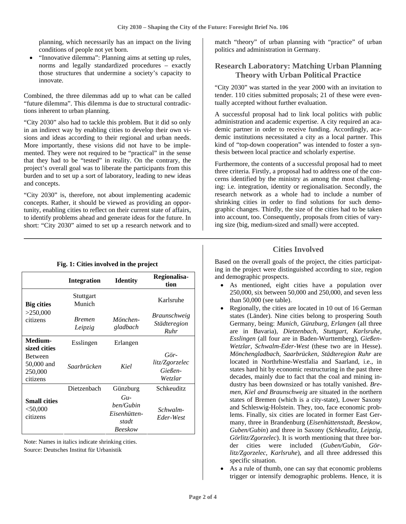planning, which necessarily has an impact on the living conditions of people not yet born.

• "Innovative dilemma": Planning aims at setting up rules, norms and legally standardized procedures – exactly those structures that undermine a society's capacity to innovate.

Combined, the three dilemmas add up to what can be called "future dilemma". This dilemma is due to structural contradictions inherent to urban planning.

"City 2030" also had to tackle this problem. But it did so only in an indirect way by enabling cities to develop their own visions and ideas according to their regional and urban needs. More importantly, these visions did not have to be implemented. They were not required to be "practical" in the sense that they had to be "tested" in reality. On the contrary, the project's overall goal was to liberate the participants from this burden and to set up a sort of laboratory, leading to new ideas and concepts.

"City 2030" is, therefore, not about implementing academic concepts. Rather, it should be viewed as providing an opportunity, enabling cities to reflect on their current state of affairs, to identify problems ahead and generate ideas for the future. In short: "City 2030" aimed to set up a research network and to match "theory" of urban planning with "practice" of urban politics and administration in Germany.

### **Research Laboratory: Matching Urban Planning Theory with Urban Political Practice**

"City 2030" was started in the year 2000 with an invitation to tender. 110 cities submitted proposals; 21 of these were eventually accepted without further evaluation.

A successful proposal had to link local politics with public administration and academic expertise. A city required an academic partner in order to receive funding. Accordingly, academic institutions necessitated a city as a local partner. This kind of "top-down cooperation" was intended to foster a synthesis between local practice and scholarly expertise.

Furthermore, the contents of a successful proposal had to meet three criteria. Firstly, a proposal had to address one of the concerns identified by the ministry as among the most challenging: i.e. integration, identity or regionalisation. Secondly, the research network as a whole had to include a number of shrinking cities in order to find solutions for such demographic changes. Thirdly, the size of the cities had to be taken into account, too. Consequently, proposals from cities of varying size (big, medium-sized and small) were accepted.

#### **Integration** Identity **Regionalisation Stuttgart** Munich Karlsruhe **Big cities**  >250,000 citizens *Bremen Leipzig Mönchengladbach Braunschweig Städteregion Ruhr*  **Medium-** Esslingen Erlangen **sized cities**  Between 50,000 and 250,000 citizens *Saarbrücken Kiel Görlitz/Zgorzelec Gießen-Wetzlar*  Dietzenbach Günzburg Schkeuditz **Small cities**   $< 50.000$ citizens *Guben/Gubin Eisenhüttenstadt Beeskow Schwalm-Eder-West*

**Fig. 1: Cities involved in the project** 

Note: Names in italics indicate shrinking cities. Source: Deutsches Institut für Urbanistik

### **Cities Involved**

Based on the overall goals of the project, the cities participating in the project were distinguished according to size, region and demographic prospects.

- As mentioned, eight cities have a population over 250,000, six between 50,000 and 250,000, and seven less than 50,000 (see table).
- Regionally, the cities are located in 10 out of 16 German states (Länder). Nine cities belong to prospering South Germany, being: *Munich, Günzburg, Erlangen* (all three are in Bavaria), *Dietzenbach, Stuttgart, Karlsruhe, Esslingen* (all four are in Baden-Wurttemberg), *Gießen-Wetzlar, Schwalm-Eder-West* (these two are in Hesse). *Mönchengladbach, Saarbrücken, Städteregion Ruhr* are located in Northrhine-Westfalia and Saarland, i.e., in states hard hit by economic restructuring in the past three decades, mainly due to fact that the coal and mining industry has been downsized or has totally vanished. *Bremen, Kiel and Braunschweig* are situated in the northern states of Bremen (which is a city-state), Lower Saxony and Schleswig-Holstein. They, too, face economic problems. Finally, six cities are located in former East Germany, three in Brandenburg (*Eisenhüttenstadt, Beeskow, Guben/Gubin*) and three in Saxony (*Schkeuditz, Leipzig, Görlitz/Zgorzelec*). It is worth mentioning that three border cities were included (*Guben/Gubin, Görlitz/Zgorzelec, Karlsruhe*), and all three addressed this specific situation.
- As a rule of thumb, one can say that economic problems trigger or intensify demographic problems. Hence, it is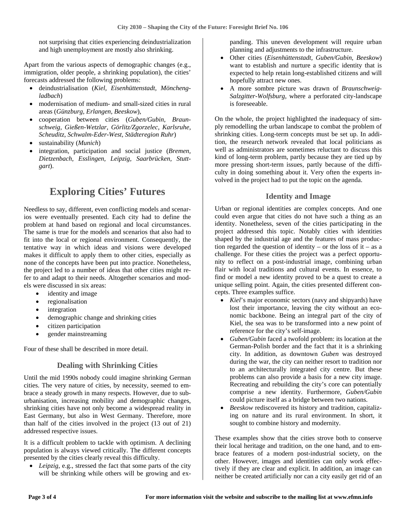not surprising that cities experiencing deindustrialization and high unemployment are mostly also shrinking.

Apart from the various aspects of demographic changes (e.g., immigration, older people, a shrinking population), the cities' forecasts addressed the following problems:

- deindustrialisation (*Kiel, Eisenhüttenstadt, Mönchengladbach*)
- modernisation of medium- and small-sized cities in rural areas (*Günzburg, Erlangen, Beeskow*),
- cooperation between cities (*Guben/Gubin, Braunschweig, Gießen-Wetzlar, Görlitz/Zgorzelec, Karlsruhe, Scheuditz, Schwalm-Eder-West, Städteregion Ruhr*)
- sustainability (*Munich*)
- integration, participation and social justice (*Bremen, Dietzenbach, Esslingen, Leipzig, Saarbrücken, Stuttgart*).

## **Exploring Cities' Futures**

Needless to say, different, even conflicting models and scenarios were eventually presented. Each city had to define the problem at hand based on regional and local circumstances. The same is true for the models and scenarios that also had to fit into the local or regional environment. Consequently, the tentative way in which ideas and visions were developed makes it difficult to apply them to other cities, especially as none of the concepts have been put into practice. Nonetheless, the project led to a number of ideas that other cities might refer to and adapt to their needs. Altogether scenarios and models were discussed in six areas:

- identity and image
- regionalisation
- integration
- demographic change and shrinking cities
- citizen participation
- gender mainstreaming

Four of these shall be described in more detail.

#### **Dealing with Shrinking Cities**

Until the mid 1990s nobody could imagine shrinking German cities. The very nature of cities, by necessity, seemed to embrace a steady growth in many respects. However, due to suburbanisation, increasing mobility and demographic changes, shrinking cities have not only become a widespread reality in East Germany, but also in West Germany. Therefore, more than half of the cities involved in the project (13 out of 21) addressed respective issues.

It is a difficult problem to tackle with optimism. A declining population is always viewed critically. The different concepts presented by the cities clearly reveal this difficulty.

• *Leipzig*, e.g., stressed the fact that some parts of the city will be shrinking while others will be growing and expanding. This uneven development will require urban planning and adjustments to the infrastructure.

- Other cities (*Eisenhüttenstadt, Guben/Gubin*, *Beeskow*) want to establish and nurture a specific identity that is expected to help retain long-established citizens and will hopefully attract new ones.
- A more sombre picture was drawn of *Braunschweig-Salzgitter-Wolfsburg*, where a perforated city-landscape is foreseeable.

On the whole, the project highlighted the inadequacy of simply remodelling the urban landscape to combat the problem of shrinking cities. Long-term concepts must be set up. In addition, the research network revealed that local politicians as well as administrators are sometimes reluctant to discuss this kind of long-term problem, partly because they are tied up by more pressing short-term issues, partly because of the difficulty in doing something about it. Very often the experts involved in the project had to put the topic on the agenda.

### **Identity and Image**

Urban or regional identities are complex concepts. And one could even argue that cities do not have such a thing as an identity. Nonetheless, seven of the cities participating in the project addressed this topic. Notably cities with identities shaped by the industrial age and the features of mass production regarded the question of identity – or the loss of it – as a challenge. For these cities the project was a perfect opportunity to reflect on a post-industrial image, combining urban flair with local traditions and cultural events. In essence, to find or model a new identity proved to be a quest to create a unique selling point. Again, the cities presented different concepts. Three examples suffice.

- *Kiel*'s major economic sectors (navy and shipyards) have lost their importance, leaving the city without an economic backbone. Being an integral part of the city of Kiel, the sea was to be transformed into a new point of reference for the city's self-image.
- *Guben/Gubin* faced a twofold problem: its location at the German-Polish border and the fact that it is a shrinking city. In addition, as downtown *Guben* was destroyed during the war, the city can neither resort to tradition nor to an architecturally integrated city centre. But these problems can also provide a basis for a new city image. Recreating and rebuilding the city's core can potentially comprise a new identity. Furthermore, *Guben/Gubin* could picture itself as a bridge between two nations.
- *Beeskow* rediscovered its history and tradition, capitalizing on nature and its rural environment. In short, it sought to combine history and modernity.

These examples show that the cities strove both to conserve their local heritage and tradition, on the one hand, and to embrace features of a modern post-industrial society, on the other. However, images and identities can only work effectively if they are clear and explicit. In addition, an image can neither be created artificially nor can a city easily get rid of an